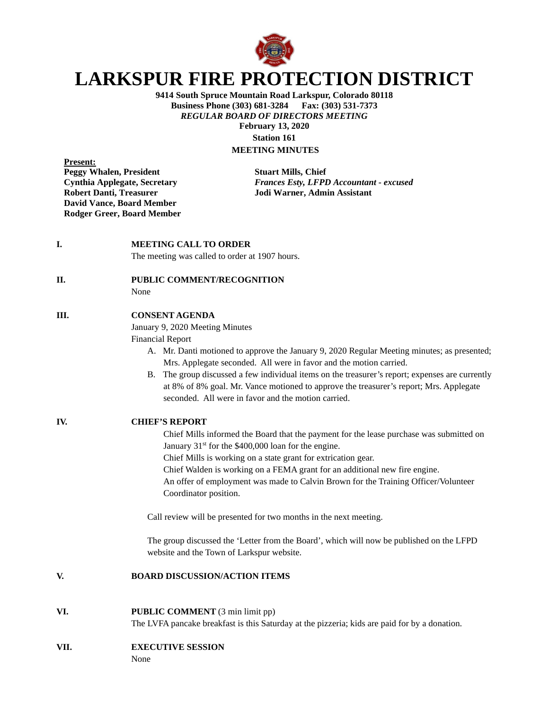

# **LARKSPUR FIRE PROTECTION DISTRICT**

**9414 South Spruce Mountain Road Larkspur, Colorado 80118 Business Phone (303) 681-3284 Fax: (303) 531-7373** *REGULAR BOARD OF DIRECTORS MEETING* **February 13, 2020 Station 161**

**MEETING MINUTES**

**Present: Peggy Whalen, President Stuart Mills, Chief Robert Danti, Treasurer Jodi Warner, Admin Assistant David Vance, Board Member Rodger Greer, Board Member**

**Cynthia Applegate, Secretary** *Frances Esty, LFPD Accountant - excused*

**I. MEETING CALL TO ORDER** 

The meeting was called to order at 1907 hours.

#### **II. PUBLIC COMMENT/RECOGNITION**

None

### **III. CONSENT AGENDA**

January 9, 2020 Meeting Minutes

Financial Report

- A. Mr. Danti motioned to approve the January 9, 2020 Regular Meeting minutes; as presented; Mrs. Applegate seconded. All were in favor and the motion carried.
- B. The group discussed a few individual items on the treasurer's report; expenses are currently at 8% of 8% goal. Mr. Vance motioned to approve the treasurer's report; Mrs. Applegate seconded. All were in favor and the motion carried.
- **IV. CHIEF'S REPORT**

Chief Mills informed the Board that the payment for the lease purchase was submitted on January  $31<sup>st</sup>$  for the \$400,000 loan for the engine.

Chief Mills is working on a state grant for extrication gear.

Chief Walden is working on a FEMA grant for an additional new fire engine.

An offer of employment was made to Calvin Brown for the Training Officer/Volunteer Coordinator position.

Call review will be presented for two months in the next meeting.

The group discussed the 'Letter from the Board', which will now be published on the LFPD website and the Town of Larkspur website.

#### **V. BOARD DISCUSSION/ACTION ITEMS**

- **VI. PUBLIC COMMENT** (3 min limit pp) The LVFA pancake breakfast is this Saturday at the pizzeria; kids are paid for by a donation.
- **VII. EXECUTIVE SESSION**

None